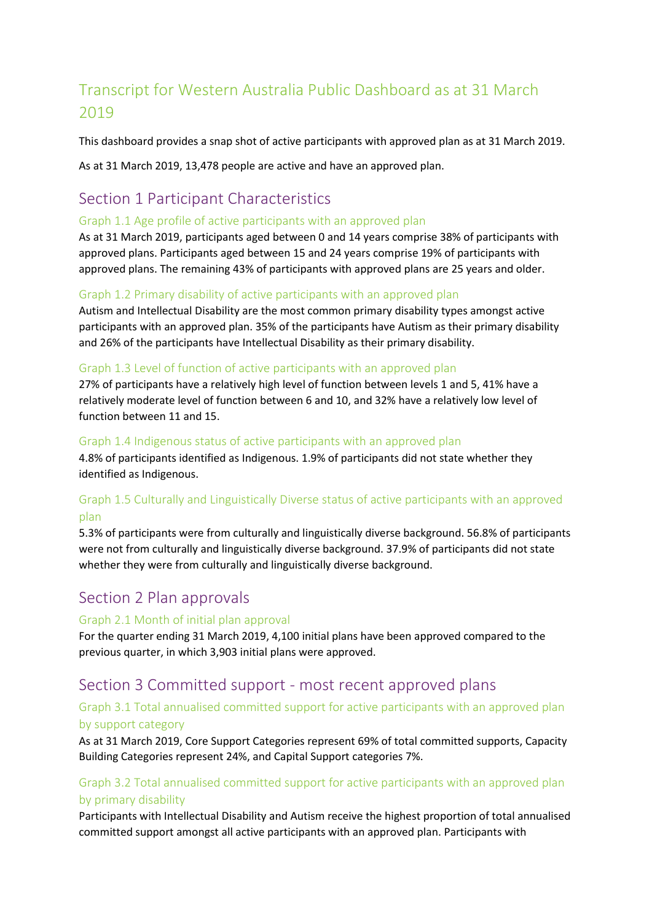# Transcript for Western Australia Public Dashboard as at 31 March 2019

This dashboard provides a snap shot of active participants with approved plan as at 31 March 2019.

As at 31 March 2019, 13,478 people are active and have an approved plan.

# Section 1 Participant Characteristics

#### Graph 1.1 Age profile of active participants with an approved plan

As at 31 March 2019, participants aged between 0 and 14 years comprise 38% of participants with approved plans. Participants aged between 15 and 24 years comprise 19% of participants with approved plans. The remaining 43% of participants with approved plans are 25 years and older.

#### Graph 1.2 Primary disability of active participants with an approved plan

Autism and Intellectual Disability are the most common primary disability types amongst active participants with an approved plan. 35% of the participants have Autism as their primary disability and 26% of the participants have Intellectual Disability as their primary disability.

#### Graph 1.3 Level of function of active participants with an approved plan

27% of participants have a relatively high level of function between levels 1 and 5, 41% have a relatively moderate level of function between 6 and 10, and 32% have a relatively low level of function between 11 and 15.

#### Graph 1.4 Indigenous status of active participants with an approved plan

4.8% of participants identified as Indigenous. 1.9% of participants did not state whether they identified as Indigenous.

# Graph 1.5 Culturally and Linguistically Diverse status of active participants with an approved plan

5.3% of participants were from culturally and linguistically diverse background. 56.8% of participants were not from culturally and linguistically diverse background. 37.9% of participants did not state whether they were from culturally and linguistically diverse background.

# Section 2 Plan approvals

#### Graph 2.1 Month of initial plan approval

For the quarter ending 31 March 2019, 4,100 initial plans have been approved compared to the previous quarter, in which 3,903 initial plans were approved.

# Section 3 Committed support - most recent approved plans

# Graph 3.1 Total annualised committed support for active participants with an approved plan by support category

As at 31 March 2019, Core Support Categories represent 69% of total committed supports, Capacity Building Categories represent 24%, and Capital Support categories 7%.

# Graph 3.2 Total annualised committed support for active participants with an approved plan by primary disability

Participants with Intellectual Disability and Autism receive the highest proportion of total annualised committed support amongst all active participants with an approved plan. Participants with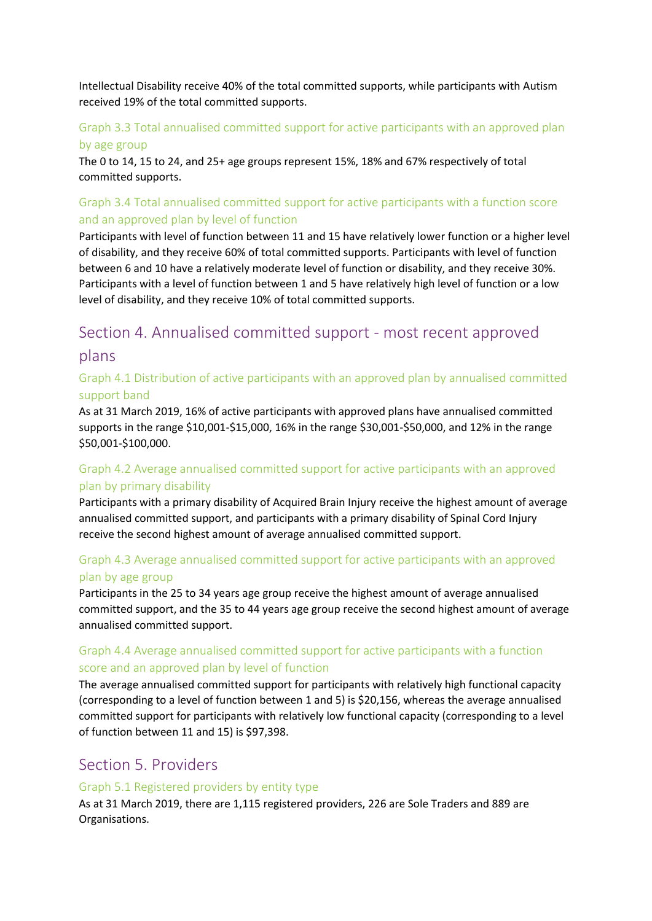Intellectual Disability receive 40% of the total committed supports, while participants with Autism received 19% of the total committed supports.

### Graph 3.3 Total annualised committed support for active participants with an approved plan by age group

The 0 to 14, 15 to 24, and 25+ age groups represent 15%, 18% and 67% respectively of total committed supports.

# Graph 3.4 Total annualised committed support for active participants with a function score and an approved plan by level of function

Participants with level of function between 11 and 15 have relatively lower function or a higher level of disability, and they receive 60% of total committed supports. Participants with level of function between 6 and 10 have a relatively moderate level of function or disability, and they receive 30%. Participants with a level of function between 1 and 5 have relatively high level of function or a low level of disability, and they receive 10% of total committed supports.

# Section 4. Annualised committed support - most recent approved plans

### Graph 4.1 Distribution of active participants with an approved plan by annualised committed support band

As at 31 March 2019, 16% of active participants with approved plans have annualised committed supports in the range \$10,001-\$15,000, 16% in the range \$30,001-\$50,000, and 12% in the range \$50,001-\$100,000.

# Graph 4.2 Average annualised committed support for active participants with an approved plan by primary disability

Participants with a primary disability of Acquired Brain Injury receive the highest amount of average annualised committed support, and participants with a primary disability of Spinal Cord Injury receive the second highest amount of average annualised committed support.

# Graph 4.3 Average annualised committed support for active participants with an approved plan by age group

Participants in the 25 to 34 years age group receive the highest amount of average annualised committed support, and the 35 to 44 years age group receive the second highest amount of average annualised committed support.

#### Graph 4.4 Average annualised committed support for active participants with a function score and an approved plan by level of function

The average annualised committed support for participants with relatively high functional capacity (corresponding to a level of function between 1 and 5) is \$20,156, whereas the average annualised committed support for participants with relatively low functional capacity (corresponding to a level of function between 11 and 15) is \$97,398.

# Section 5. Providers

#### Graph 5.1 Registered providers by entity type

As at 31 March 2019, there are 1,115 registered providers, 226 are Sole Traders and 889 are Organisations.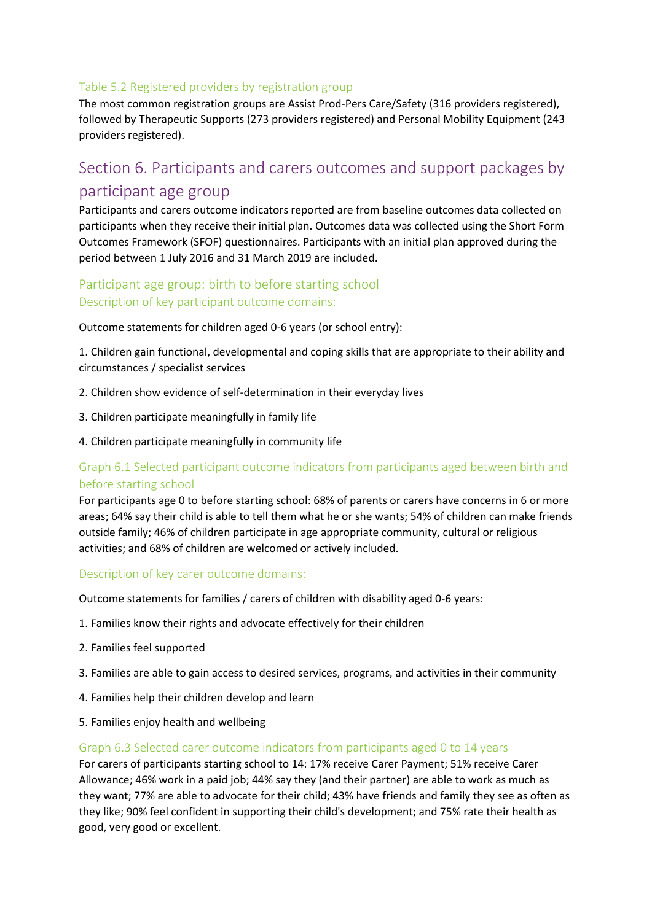#### Table 5.2 Registered providers by registration group

The most common registration groups are Assist Prod-Pers Care/Safety (316 providers registered), followed by Therapeutic Supports (273 providers registered) and Personal Mobility Equipment (243 providers registered).

# Section 6. Participants and carers outcomes and support packages by participant age group

Participants and carers outcome indicators reported are from baseline outcomes data collected on participants when they receive their initial plan. Outcomes data was collected using the Short Form Outcomes Framework (SFOF) questionnaires. Participants with an initial plan approved during the period between 1 July 2016 and 31 March 2019 are included.

# Participant age group: birth to before starting school Description of key participant outcome domains:

Outcome statements for children aged 0-6 years (or school entry):

1. Children gain functional, developmental and coping skills that are appropriate to their ability and circumstances / specialist services

- 2. Children show evidence of self-determination in their everyday lives
- 3. Children participate meaningfully in family life
- 4. Children participate meaningfully in community life

# Graph 6.1 Selected participant outcome indicators from participants aged between birth and before starting school

For participants age 0 to before starting school: 68% of parents or carers have concerns in 6 or more areas; 64% say their child is able to tell them what he or she wants; 54% of children can make friends outside family; 46% of children participate in age appropriate community, cultural or religious activities; and 68% of children are welcomed or actively included.

#### Description of key carer outcome domains:

Outcome statements for families / carers of children with disability aged 0-6 years:

- 1. Families know their rights and advocate effectively for their children
- 2. Families feel supported
- 3. Families are able to gain access to desired services, programs, and activities in their community
- 4. Families help their children develop and learn
- 5. Families enjoy health and wellbeing

#### Graph 6.3 Selected carer outcome indicators from participants aged 0 to 14 years

For carers of participants starting school to 14: 17% receive Carer Payment; 51% receive Carer Allowance; 46% work in a paid job; 44% say they (and their partner) are able to work as much as they want; 77% are able to advocate for their child; 43% have friends and family they see as often as they like; 90% feel confident in supporting their child's development; and 75% rate their health as good, very good or excellent.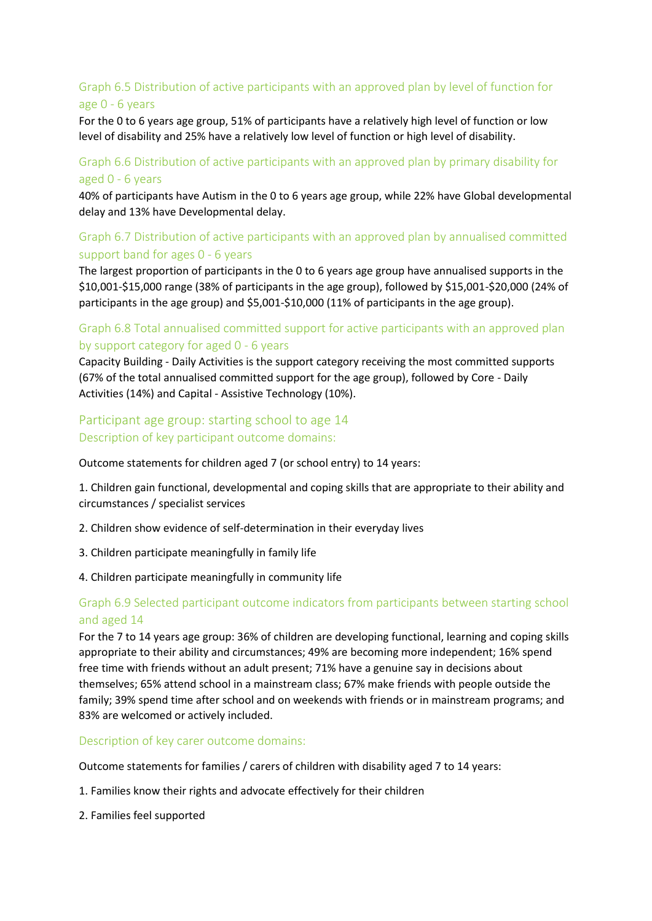# Graph 6.5 Distribution of active participants with an approved plan by level of function for age 0 - 6 years

For the 0 to 6 years age group, 51% of participants have a relatively high level of function or low level of disability and 25% have a relatively low level of function or high level of disability.

#### Graph 6.6 Distribution of active participants with an approved plan by primary disability for aged 0 - 6 years

40% of participants have Autism in the 0 to 6 years age group, while 22% have Global developmental delay and 13% have Developmental delay.

# Graph 6.7 Distribution of active participants with an approved plan by annualised committed support band for ages 0 - 6 years

The largest proportion of participants in the 0 to 6 years age group have annualised supports in the \$10,001-\$15,000 range (38% of participants in the age group), followed by \$15,001-\$20,000 (24% of participants in the age group) and \$5,001-\$10,000 (11% of participants in the age group).

#### Graph 6.8 Total annualised committed support for active participants with an approved plan by support category for aged 0 - 6 years

Capacity Building - Daily Activities is the support category receiving the most committed supports (67% of the total annualised committed support for the age group), followed by Core - Daily Activities (14%) and Capital - Assistive Technology (10%).

#### Participant age group: starting school to age 14 Description of key participant outcome domains:

Outcome statements for children aged 7 (or school entry) to 14 years:

1. Children gain functional, developmental and coping skills that are appropriate to their ability and circumstances / specialist services

- 2. Children show evidence of self-determination in their everyday lives
- 3. Children participate meaningfully in family life
- 4. Children participate meaningfully in community life

#### Graph 6.9 Selected participant outcome indicators from participants between starting school and aged 14

For the 7 to 14 years age group: 36% of children are developing functional, learning and coping skills appropriate to their ability and circumstances; 49% are becoming more independent; 16% spend free time with friends without an adult present; 71% have a genuine say in decisions about themselves; 65% attend school in a mainstream class; 67% make friends with people outside the family; 39% spend time after school and on weekends with friends or in mainstream programs; and 83% are welcomed or actively included.

Description of key carer outcome domains:

Outcome statements for families / carers of children with disability aged 7 to 14 years:

- 1. Families know their rights and advocate effectively for their children
- 2. Families feel supported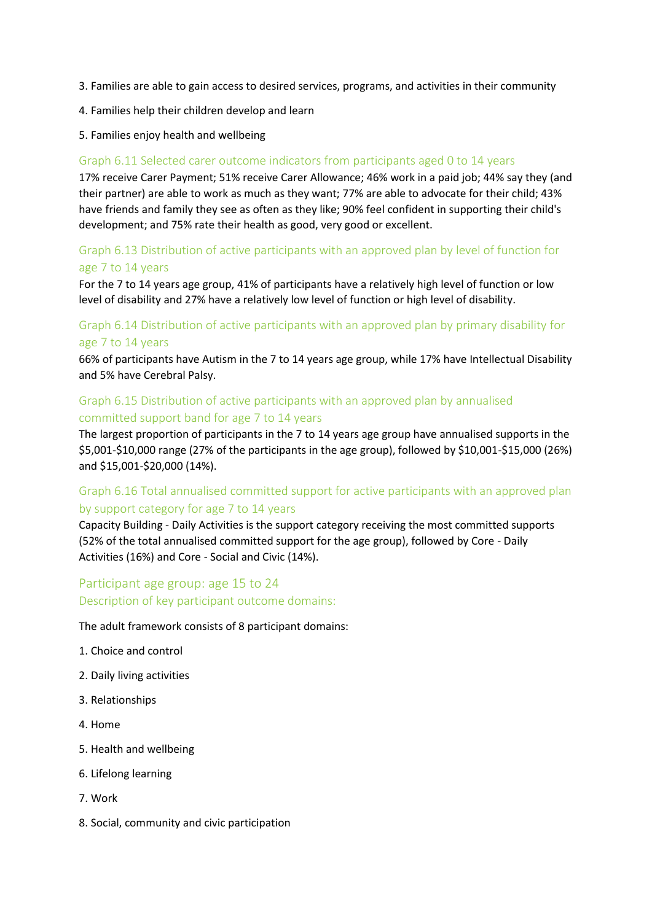- 3. Families are able to gain access to desired services, programs, and activities in their community
- 4. Families help their children develop and learn
- 5. Families enjoy health and wellbeing

#### Graph 6.11 Selected carer outcome indicators from participants aged 0 to 14 years

17% receive Carer Payment; 51% receive Carer Allowance; 46% work in a paid job; 44% say they (and their partner) are able to work as much as they want; 77% are able to advocate for their child; 43% have friends and family they see as often as they like; 90% feel confident in supporting their child's development; and 75% rate their health as good, very good or excellent.

#### Graph 6.13 Distribution of active participants with an approved plan by level of function for age 7 to 14 years

For the 7 to 14 years age group, 41% of participants have a relatively high level of function or low level of disability and 27% have a relatively low level of function or high level of disability.

### Graph 6.14 Distribution of active participants with an approved plan by primary disability for age 7 to 14 years

66% of participants have Autism in the 7 to 14 years age group, while 17% have Intellectual Disability and 5% have Cerebral Palsy.

#### Graph 6.15 Distribution of active participants with an approved plan by annualised committed support band for age 7 to 14 years

The largest proportion of participants in the 7 to 14 years age group have annualised supports in the \$5,001-\$10,000 range (27% of the participants in the age group), followed by \$10,001-\$15,000 (26%) and \$15,001-\$20,000 (14%).

# Graph 6.16 Total annualised committed support for active participants with an approved plan by support category for age 7 to 14 years

Capacity Building - Daily Activities is the support category receiving the most committed supports (52% of the total annualised committed support for the age group), followed by Core - Daily Activities (16%) and Core - Social and Civic (14%).

# Participant age group: age 15 to 24 Description of key participant outcome domains:

The adult framework consists of 8 participant domains:

- 1. Choice and control
- 2. Daily living activities
- 3. Relationships
- 4. Home
- 5. Health and wellbeing
- 6. Lifelong learning
- 7. Work
- 8. Social, community and civic participation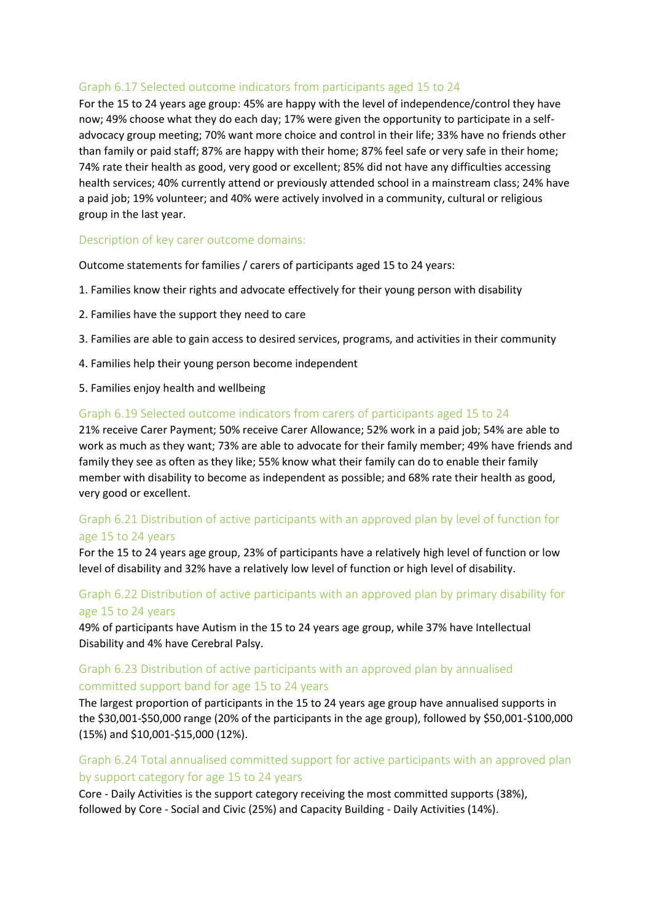#### Graph 6.17 Selected outcome indicators from participants aged 15 to 24

For the 15 to 24 years age group: 45% are happy with the level of independence/control they have now; 49% choose what they do each day; 17% were given the opportunity to participate in a selfadvocacy group meeting; 70% want more choice and control in their life; 33% have no friends other than family or paid staff; 87% are happy with their home; 87% feel safe or very safe in their home; 74% rate their health as good, very good or excellent; 85% did not have any difficulties accessing health services; 40% currently attend or previously attended school in a mainstream class; 24% have a paid job; 19% volunteer; and 40% were actively involved in a community, cultural or religious group in the last year.

#### Description of key carer outcome domains:

Outcome statements for families / carers of participants aged 15 to 24 years:

- 1. Families know their rights and advocate effectively for their young person with disability
- 2. Families have the support they need to care
- 3. Families are able to gain access to desired services, programs, and activities in their community
- 4. Families help their young person become independent
- 5. Families enjoy health and wellbeing

#### Graph 6.19 Selected outcome indicators from carers of participants aged 15 to 24

21% receive Carer Payment; 50% receive Carer Allowance; 52% work in a paid job; 54% are able to work as much as they want; 73% are able to advocate for their family member; 49% have friends and family they see as often as they like; 55% know what their family can do to enable their family member with disability to become as independent as possible; and 68% rate their health as good, very good or excellent.

#### Graph 6.21 Distribution of active participants with an approved plan by level of function for age 15 to 24 years

For the 15 to 24 years age group, 23% of participants have a relatively high level of function or low level of disability and 32% have a relatively low level of function or high level of disability.

#### Graph 6.22 Distribution of active participants with an approved plan by primary disability for age 15 to 24 years

49% of participants have Autism in the 15 to 24 years age group, while 37% have Intellectual Disability and 4% have Cerebral Palsy.

#### Graph 6.23 Distribution of active participants with an approved plan by annualised committed support band for age 15 to 24 years

The largest proportion of participants in the 15 to 24 years age group have annualised supports in the \$30,001-\$50,000 range (20% of the participants in the age group), followed by \$50,001-\$100,000 (15%) and \$10,001-\$15,000 (12%).

#### Graph 6.24 Total annualised committed support for active participants with an approved plan by support category for age 15 to 24 years

Core - Daily Activities is the support category receiving the most committed supports (38%), followed by Core - Social and Civic (25%) and Capacity Building - Daily Activities (14%).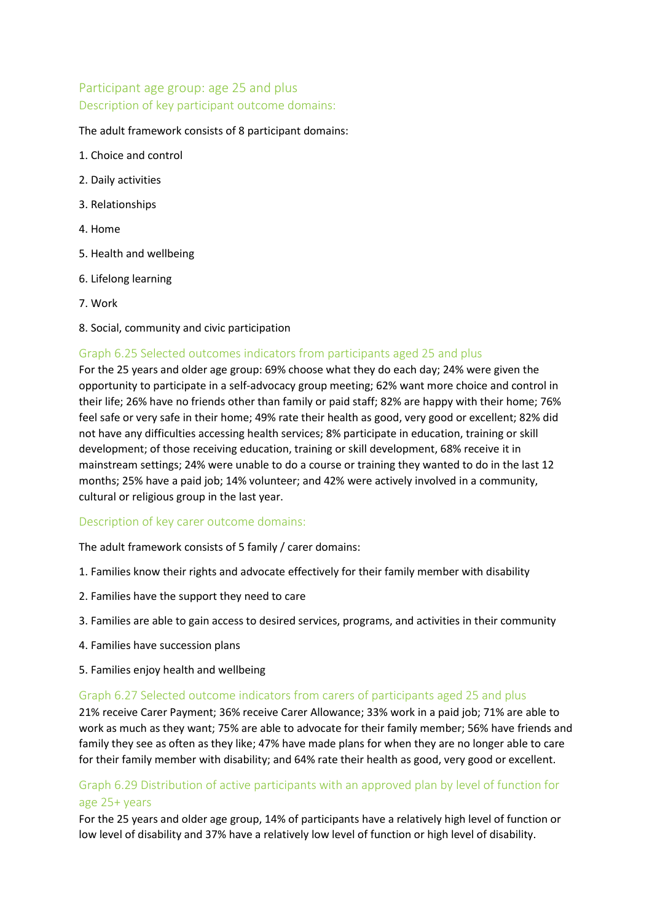# Participant age group: age 25 and plus Description of key participant outcome domains:

#### The adult framework consists of 8 participant domains:

- 1. Choice and control
- 2. Daily activities
- 3. Relationships
- 4. Home
- 5. Health and wellbeing
- 6. Lifelong learning
- 7. Work
- 8. Social, community and civic participation

#### Graph 6.25 Selected outcomes indicators from participants aged 25 and plus

For the 25 years and older age group: 69% choose what they do each day; 24% were given the opportunity to participate in a self-advocacy group meeting; 62% want more choice and control in their life; 26% have no friends other than family or paid staff; 82% are happy with their home; 76% feel safe or very safe in their home; 49% rate their health as good, very good or excellent; 82% did not have any difficulties accessing health services; 8% participate in education, training or skill development; of those receiving education, training or skill development, 68% receive it in mainstream settings; 24% were unable to do a course or training they wanted to do in the last 12 months; 25% have a paid job; 14% volunteer; and 42% were actively involved in a community, cultural or religious group in the last year.

#### Description of key carer outcome domains:

The adult framework consists of 5 family / carer domains:

- 1. Families know their rights and advocate effectively for their family member with disability
- 2. Families have the support they need to care
- 3. Families are able to gain access to desired services, programs, and activities in their community
- 4. Families have succession plans
- 5. Families enjoy health and wellbeing

#### Graph 6.27 Selected outcome indicators from carers of participants aged 25 and plus

21% receive Carer Payment; 36% receive Carer Allowance; 33% work in a paid job; 71% are able to work as much as they want; 75% are able to advocate for their family member; 56% have friends and family they see as often as they like; 47% have made plans for when they are no longer able to care for their family member with disability; and 64% rate their health as good, very good or excellent.

#### Graph 6.29 Distribution of active participants with an approved plan by level of function for age 25+ years

For the 25 years and older age group, 14% of participants have a relatively high level of function or low level of disability and 37% have a relatively low level of function or high level of disability.